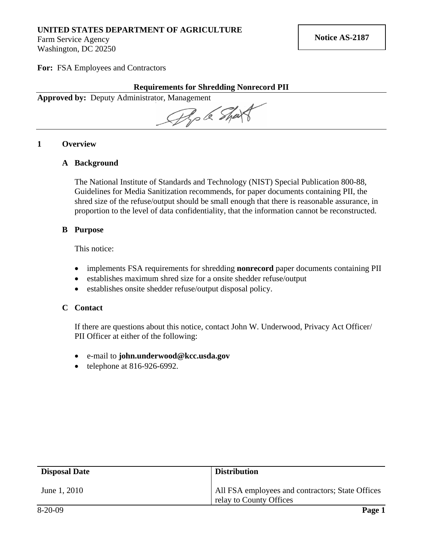# **UNITED STATES DEPARTMENT OF AGRICULTURE**

Farm Service Agency Washington, DC 20250

**For:** FSA Employees and Contractors

**Requirements for Shredding Nonrecord PII** 

**Approved by:** Deputy Administrator, Management

Pop le Shart

## **1 Overview**

## **A Background**

The National Institute of Standards and Technology (NIST) Special Publication 800-88, Guidelines for Media Sanitization recommends, for paper documents containing PII, the shred size of the refuse/output should be small enough that there is reasonable assurance, in proportion to the level of data confidentiality, that the information cannot be reconstructed.

#### **B Purpose**

This notice:

- implements FSA requirements for shredding **nonrecord** paper documents containing PII
- establishes maximum shred size for a onsite shedder refuse/output
- establishes onsite shedder refuse/output disposal policy.

#### **C Contact**

If there are questions about this notice, contact John W. Underwood, Privacy Act Officer/ PII Officer at either of the following:

- e-mail to **[john.underwood@kcc.usda.gov](mailto:john.underwood@kcc.usda.gov)**
- $\bullet$  telephone at 816-926-6992.

| <b>Disposal Date</b> | <b>Distribution</b>                                                         |
|----------------------|-----------------------------------------------------------------------------|
| June 1, 2010         | All FSA employees and contractors; State Offices<br>relay to County Offices |
| $8-20-09$            | Page 1                                                                      |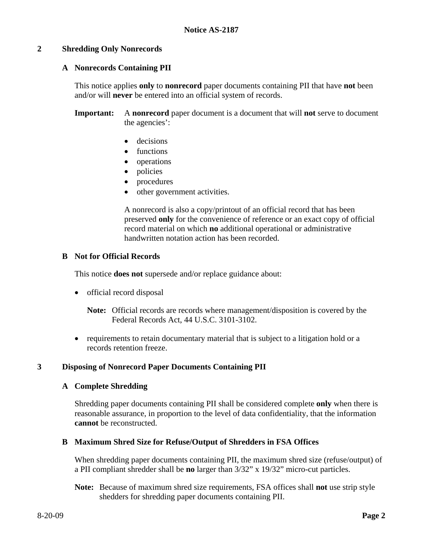## **2 Shredding Only Nonrecords**

## **A Nonrecords Containing PII**

This notice applies **only** to **nonrecord** paper documents containing PII that have **not** been and/or will **never** be entered into an official system of records.

**Important:** A **nonrecord** paper document is a document that will **not** serve to document the agencies':

- decisions
- functions
- operations
- policies
- procedures
- other government activities.

A nonrecord is also a copy/printout of an official record that has been preserved **only** for the convenience of reference or an exact copy of official record material on which **no** additional operational or administrative handwritten notation action has been recorded.

## **B Not for Official Records**

This notice **does not** supersede and/or replace guidance about:

- official record disposal
	- **Note:** Official records are records where management/disposition is covered by the Federal Records Act, 44 U.S.C. 3101-3102.
- requirements to retain documentary material that is subject to a litigation hold or a records retention freeze.

## **3 Disposing of Nonrecord Paper Documents Containing PII**

#### **A Complete Shredding**

Shredding paper documents containing PII shall be considered complete **only** when there is reasonable assurance, in proportion to the level of data confidentiality, that the information **cannot** be reconstructed.

## **B Maximum Shred Size for Refuse/Output of Shredders in FSA Offices**

When shredding paper documents containing PII, the maximum shred size (refuse/output) of a PII compliant shredder shall be **no** larger than 3/32" x 19/32" micro-cut particles.

**Note:** Because of maximum shred size requirements, FSA offices shall **not** use strip style shedders for shredding paper documents containing PII.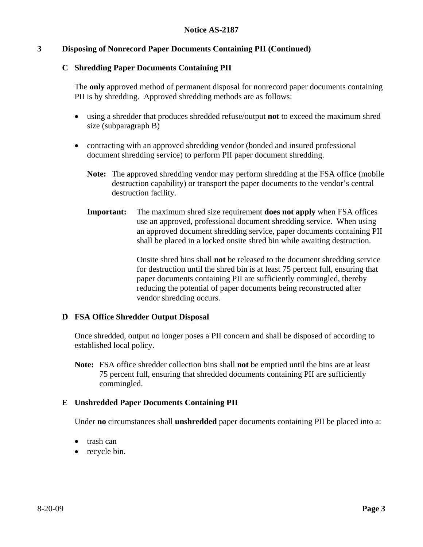## **3 Disposing of Nonrecord Paper Documents Containing PII (Continued)**

## **C Shredding Paper Documents Containing PII**

The **only** approved method of permanent disposal for nonrecord paper documents containing PII is by shredding. Approved shredding methods are as follows:

- using a shredder that produces shredded refuse/output **not** to exceed the maximum shred size (subparagraph B)
- contracting with an approved shredding vendor (bonded and insured professional document shredding service) to perform PII paper document shredding.
	- **Note:** The approved shredding vendor may perform shredding at the FSA office (mobile destruction capability) or transport the paper documents to the vendor's central destruction facility.
	- **Important:** The maximum shred size requirement **does not apply** when FSA offices use an approved, professional document shredding service. When using an approved document shredding service, paper documents containing PII shall be placed in a locked onsite shred bin while awaiting destruction.

Onsite shred bins shall **not** be released to the document shredding service for destruction until the shred bin is at least 75 percent full, ensuring that paper documents containing PII are sufficiently commingled, thereby reducing the potential of paper documents being reconstructed after vendor shredding occurs.

#### **D FSA Office Shredder Output Disposal**

Once shredded, output no longer poses a PII concern and shall be disposed of according to established local policy.

**Note:** FSA office shredder collection bins shall **not** be emptied until the bins are at least 75 percent full, ensuring that shredded documents containing PII are sufficiently commingled.

## **E Unshredded Paper Documents Containing PII**

Under **no** circumstances shall **unshredded** paper documents containing PII be placed into a:

- trash can
- recycle bin.